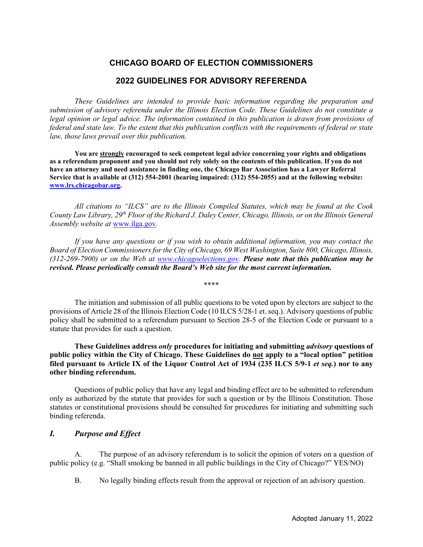# **CHICAGO BOARD OF ELECTION COMMISSIONERS**

## **2022 GUIDELINES FOR ADVISORY REFERENDA**

*These Guidelines are intended to provide basic information regarding the preparation and submission of advisory referenda under the Illinois Election Code. These Guidelines do not constitute a legal opinion or legal advice. The information contained in this publication is drawn from provisions of federal and state law. To the extent that this publication conflicts with the requirements of federal or state law, those laws prevail over this publication.*

**You are strongly encouraged to seek competent legal advice concerning your rights and obligations as a referendum proponent and you should not rely solely on the contents of this publication. If you do not have an attorney and need assistance in finding one, the Chicago Bar Association has a Lawyer Referral Service that is available at (312) 554-2001 (hearing impaired: (312) 554-2055) and at the following website: www.lrs.chicagobar.org.** 

*All citations to "ILCS" are to the Illinois Compiled Statutes, which may be found at the Cook County Law Library, 29th Floor of the Richard J. Daley Center, Chicago, Illinois, or on the Illinois General Assembly website at* www.ilga.gov*.*

*If you have any questions or if you wish to obtain additional information, you may contact the Board of Election Commissioners for the City of Chicago, 69 West Washington, Suite 800, Chicago, Illinois, (312-269-7900) or on the Web at www.chicagoelections.gov. Please note that this publication may be revised. Please periodically consult the Board's Web site for the most current information.*

\*\*\*\*

The initiation and submission of all public questions to be voted upon by electors are subject to the provisions of Article 28 of the Illinois Election Code (10 ILCS 5/28-1 et. seq.). Advisory questions of public policy shall be submitted to a referendum pursuant to Section 28-5 of the Election Code or pursuant to a statute that provides for such a question.

**These Guidelines address** *only* **procedures for initiating and submitting** *advisory* **questions of public policy within the City of Chicago. These Guidelines do not apply to a "local option" petition filed pursuant to Article IX of the Liquor Control Act of 1934 (235 ILCS 5/9-1** *et seq.***) nor to any other binding referendum.**

Questions of public policy that have any legal and binding effect are to be submitted to referendum only as authorized by the statute that provides for such a question or by the Illinois Constitution. Those statutes or constitutional provisions should be consulted for procedures for initiating and submitting such binding referenda.

## *I. Purpose and Effect*

A. The purpose of an advisory referendum is to solicit the opinion of voters on a question of public policy (e.g. "Shall smoking be banned in all public buildings in the City of Chicago?" YES/NO)

B. No legally binding effects result from the approval or rejection of an advisory question.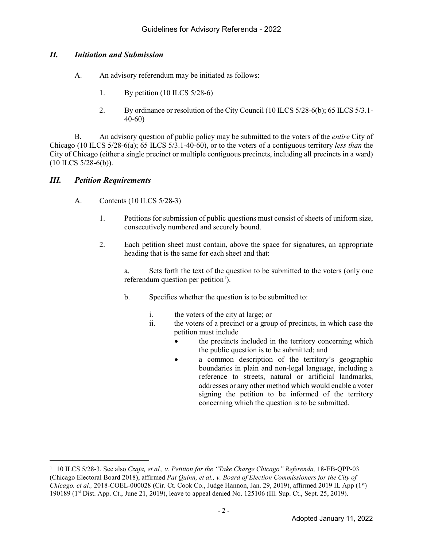## *II. Initiation and Submission*

- A. An advisory referendum may be initiated as follows:
	- 1. By petition (10 ILCS 5/28-6)
	- 2. By ordinance or resolution of the City Council (10 ILCS 5/28-6(b); 65 ILCS 5/3.1- 40-60)

B. An advisory question of public policy may be submitted to the voters of the *entire* City of Chicago (10 ILCS 5/28-6(a); 65 ILCS 5/3.1-40-60), or to the voters of a contiguous territory *less than* the City of Chicago (either a single precinct or multiple contiguous precincts, including all precincts in a ward)  $(10$  ILCS  $5/28-6(b)$ ).

## *III. Petition Requirements*

- A. Contents (10 ILCS 5/28-3)
	- 1. Petitions for submission of public questions must consist of sheets of uniform size, consecutively numbered and securely bound.
	- 2. Each petition sheet must contain, above the space for signatures, an appropriate heading that is the same for each sheet and that:

a. Sets forth the text of the question to be submitted to the voters (only one referendum question per petition $\mathbf{1}$ ).

- b. Specifies whether the question is to be submitted to:
	- i. the voters of the city at large; or
	- ii. the voters of a precinct or a group of precincts, in which case the petition must include
		- the precincts included in the territory concerning which the public question is to be submitted; and
			- a common description of the territory's geographic boundaries in plain and non-legal language, including a reference to streets, natural or artificial landmarks, addresses or any other method which would enable a voter signing the petition to be informed of the territory concerning which the question is to be submitted.

Ĩ. <sup>1</sup> 10 ILCS 5/28-3. See also *Czaja, et al., v. Petition for the "Take Charge Chicago" Referenda,* 18-EB-QPP-03 (Chicago Electoral Board 2018), affirmed *Pat Quinn, et al., v. Board of Election Commissioners for the City of Chicago, et al.,* 2018-COEL-000028 (Cir. Ct. Cook Co., Judge Hannon, Jan. 29, 2019), affirmed 2019 IL App (1st) 190189 (1st Dist. App. Ct., June 21, 2019), leave to appeal denied No. 125106 (Ill. Sup. Ct., Sept. 25, 2019).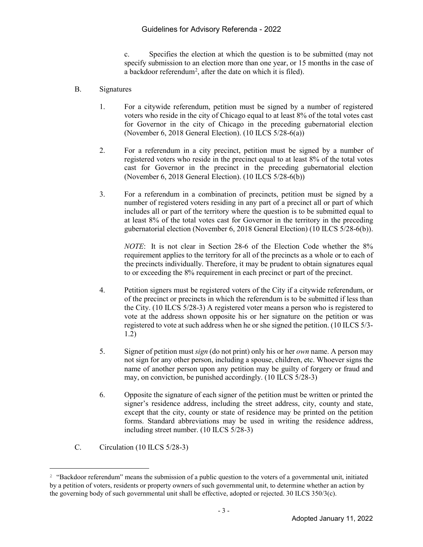### Guidelines for Advisory Referenda - 2022

c. Specifies the election at which the question is to be submitted (may not specify submission to an election more than one year, or 15 months in the case of a backdoor referendum<sup>2</sup>, after the date on which it is filed).

#### B. Signatures

- 1. For a citywide referendum, petition must be signed by a number of registered voters who reside in the city of Chicago equal to at least 8% of the total votes cast for Governor in the city of Chicago in the preceding gubernatorial election (November 6, 2018 General Election). (10 ILCS 5/28-6(a))
- 2. For a referendum in a city precinct, petition must be signed by a number of registered voters who reside in the precinct equal to at least 8% of the total votes cast for Governor in the precinct in the preceding gubernatorial election (November 6, 2018 General Election). (10 ILCS 5/28-6(b))
- 3. For a referendum in a combination of precincts, petition must be signed by a number of registered voters residing in any part of a precinct all or part of which includes all or part of the territory where the question is to be submitted equal to at least 8% of the total votes cast for Governor in the territory in the preceding gubernatorial election (November 6, 2018 General Election) (10 ILCS 5/28-6(b)).

*NOTE*: It is not clear in Section 28-6 of the Election Code whether the 8% requirement applies to the territory for all of the precincts as a whole or to each of the precincts individually. Therefore, it may be prudent to obtain signatures equal to or exceeding the 8% requirement in each precinct or part of the precinct.

- 4. Petition signers must be registered voters of the City if a citywide referendum, or of the precinct or precincts in which the referendum is to be submitted if less than the City. (10 ILCS 5/28-3) A registered voter means a person who is registered to vote at the address shown opposite his or her signature on the petition or was registered to vote at such address when he or she signed the petition. (10 ILCS 5/3- 1.2)
- 5. Signer of petition must *sign* (do not print) only his or her *own* name. A person may not sign for any other person, including a spouse, children, etc. Whoever signs the name of another person upon any petition may be guilty of forgery or fraud and may, on conviction, be punished accordingly. (10 ILCS 5/28-3)
- 6. Opposite the signature of each signer of the petition must be written or printed the signer's residence address, including the street address, city, county and state, except that the city, county or state of residence may be printed on the petition forms. Standard abbreviations may be used in writing the residence address, including street number. (10 ILCS 5/28-3)
- C. Circulation (10 ILCS 5/28-3)

Ĩ. <sup>2</sup> "Backdoor referendum" means the submission of a public question to the voters of a governmental unit, initiated by a petition of voters, residents or property owners of such governmental unit, to determine whether an action by the governing body of such governmental unit shall be effective, adopted or rejected. 30 ILCS 350/3(c).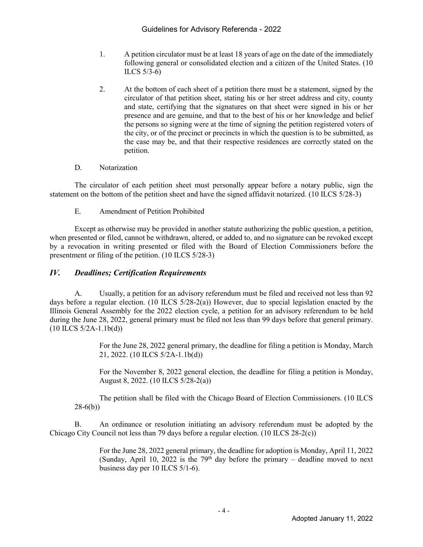- 1. A petition circulator must be at least 18 years of age on the date of the immediately following general or consolidated election and a citizen of the United States. (10 ILCS 5/3-6)
- 2. At the bottom of each sheet of a petition there must be a statement, signed by the circulator of that petition sheet, stating his or her street address and city, county and state, certifying that the signatures on that sheet were signed in his or her presence and are genuine, and that to the best of his or her knowledge and belief the persons so signing were at the time of signing the petition registered voters of the city, or of the precinct or precincts in which the question is to be submitted, as the case may be, and that their respective residences are correctly stated on the petition.

#### D. Notarization

The circulator of each petition sheet must personally appear before a notary public, sign the statement on the bottom of the petition sheet and have the signed affidavit notarized. (10 ILCS 5/28-3)

E. Amendment of Petition Prohibited

Except as otherwise may be provided in another statute authorizing the public question, a petition, when presented or filed, cannot be withdrawn, altered, or added to, and no signature can be revoked except by a revocation in writing presented or filed with the Board of Election Commissioners before the presentment or filing of the petition. (10 ILCS 5/28-3)

## *IV. Deadlines; Certification Requirements*

A. Usually, a petition for an advisory referendum must be filed and received not less than 92 days before a regular election. (10 ILCS  $5/28-2(a)$ ) However, due to special legislation enacted by the Illinois General Assembly for the 2022 election cycle, a petition for an advisory referendum to be held during the June 28, 2022, general primary must be filed not less than 99 days before that general primary.  $(10$  ILCS  $5/2A-1.1b(d))$ 

> For the June 28, 2022 general primary, the deadline for filing a petition is Monday, March 21, 2022. (10 ILCS 5/2A-1.1b(d))

> For the November 8, 2022 general election, the deadline for filing a petition is Monday, August 8, 2022. (10 ILCS 5/28-2(a))

The petition shall be filed with the Chicago Board of Election Commissioners. (10 ILCS 28-6(b))

B. An ordinance or resolution initiating an advisory referendum must be adopted by the Chicago City Council not less than 79 days before a regular election. (10 ILCS 28-2(c))

> For the June 28, 2022 general primary, the deadline for adoption is Monday, April 11, 2022 (Sunday, April 10, 2022 is the  $79<sup>th</sup>$  day before the primary – deadline moved to next business day per 10 ILCS 5/1-6).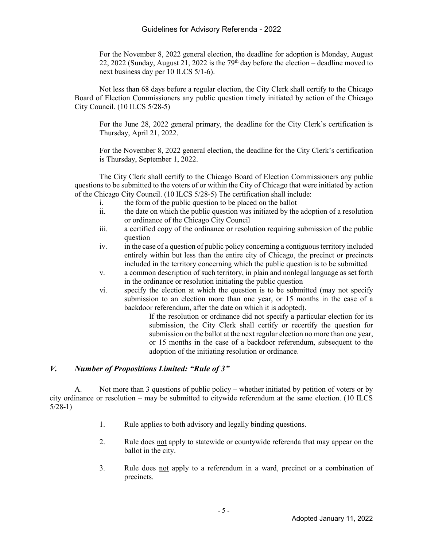For the November 8, 2022 general election, the deadline for adoption is Monday, August 22, 2022 (Sunday, August 21, 2022 is the  $79<sup>th</sup>$  day before the election – deadline moved to next business day per 10 ILCS 5/1-6).

Not less than 68 days before a regular election, the City Clerk shall certify to the Chicago Board of Election Commissioners any public question timely initiated by action of the Chicago City Council. (10 ILCS 5/28-5)

For the June 28, 2022 general primary, the deadline for the City Clerk's certification is Thursday, April 21, 2022.

For the November 8, 2022 general election, the deadline for the City Clerk's certification is Thursday, September 1, 2022.

The City Clerk shall certify to the Chicago Board of Election Commissioners any public questions to be submitted to the voters of or within the City of Chicago that were initiated by action of the Chicago City Council. (10 ILCS 5/28-5) The certification shall include:

- i. the form of the public question to be placed on the ballot
- ii. the date on which the public question was initiated by the adoption of a resolution or ordinance of the Chicago City Council
- iii. a certified copy of the ordinance or resolution requiring submission of the public question
- iv. in the case of a question of public policy concerning a contiguous territory included entirely within but less than the entire city of Chicago, the precinct or precincts included in the territory concerning which the public question is to be submitted
- v. a common description of such territory, in plain and nonlegal language as set forth in the ordinance or resolution initiating the public question
- vi. specify the election at which the question is to be submitted (may not specify submission to an election more than one year, or 15 months in the case of a backdoor referendum, after the date on which it is adopted).

If the resolution or ordinance did not specify a particular election for its submission, the City Clerk shall certify or recertify the question for submission on the ballot at the next regular election no more than one year, or 15 months in the case of a backdoor referendum, subsequent to the adoption of the initiating resolution or ordinance.

### *V. Number of Propositions Limited: "Rule of 3"*

A. Not more than 3 questions of public policy – whether initiated by petition of voters or by city ordinance or resolution – may be submitted to citywide referendum at the same election. (10 ILCS 5/28-1)

- 1. Rule applies to both advisory and legally binding questions.
- 2. Rule does not apply to statewide or countywide referenda that may appear on the ballot in the city.
- 3. Rule does not apply to a referendum in a ward, precinct or a combination of precincts.